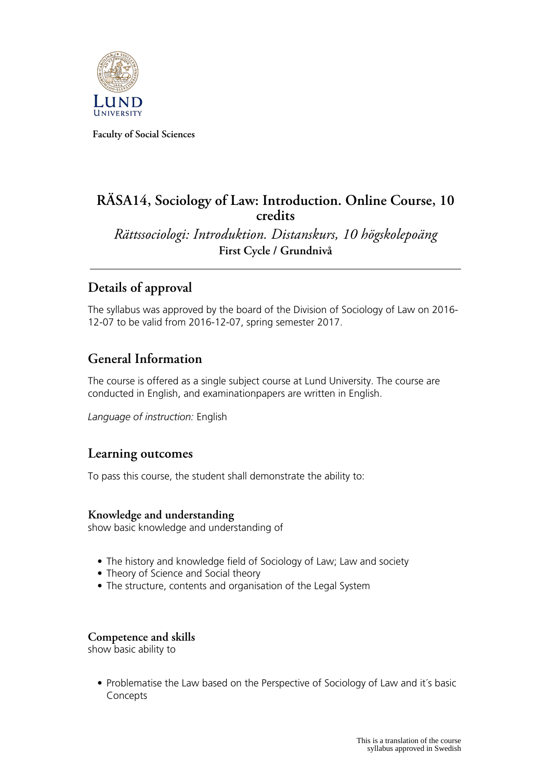

**Faculty of Social Sciences**

## **RÄSA14, Sociology of Law: Introduction. Online Course, 10 credits**

*Rättssociologi: Introduktion. Distanskurs, 10 högskolepoäng* **First Cycle / Grundnivå**

# **Details of approval**

The syllabus was approved by the board of the Division of Sociology of Law on 2016- 12-07 to be valid from 2016-12-07, spring semester 2017.

### **General Information**

The course is offered as a single subject course at Lund University. The course are conducted in English, and examinationpapers are written in English.

*Language of instruction:* English

### **Learning outcomes**

To pass this course, the student shall demonstrate the ability to:

### **Knowledge and understanding**

show basic knowledge and understanding of

- The history and knowledge field of Sociology of Law; Law and society
- Theory of Science and Social theory
- The structure, contents and organisation of the Legal System

### **Competence and skills**

show basic ability to

• Problematise the Law based on the Perspective of Sociology of Law and it´s basic **Concepts**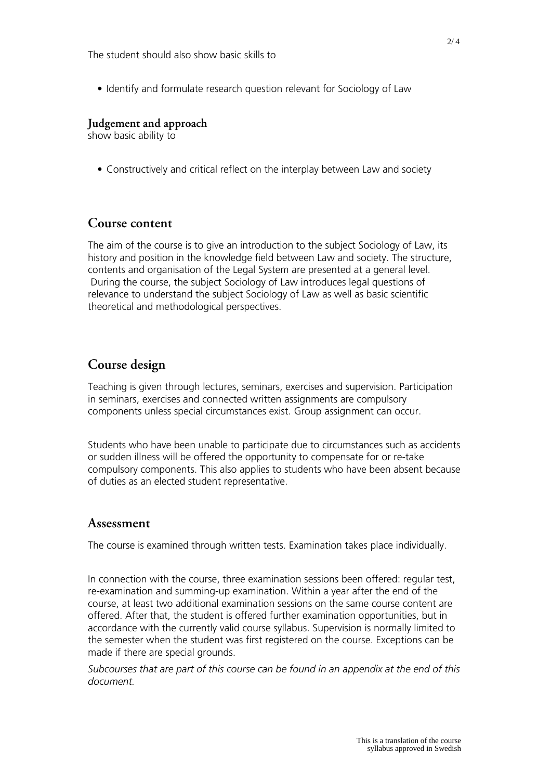• Identify and formulate research question relevant for Sociology of Law

#### **Judgement and approach**

show basic ability to

• Constructively and critical reflect on the interplay between Law and society

### **Course content**

The aim of the course is to give an introduction to the subject Sociology of Law, its history and position in the knowledge field between Law and society. The structure, contents and organisation of the Legal System are presented at a general level. During the course, the subject Sociology of Law introduces legal questions of relevance to understand the subject Sociology of Law as well as basic scientific theoretical and methodological perspectives.

### **Course design**

Teaching is given through lectures, seminars, exercises and supervision. Participation in seminars, exercises and connected written assignments are compulsory components unless special circumstances exist. Group assignment can occur.

Students who have been unable to participate due to circumstances such as accidents or sudden illness will be offered the opportunity to compensate for or re-take compulsory components. This also applies to students who have been absent because of duties as an elected student representative.

#### **Assessment**

The course is examined through written tests. Examination takes place individually.

In connection with the course, three examination sessions been offered: regular test, re-examination and summing-up examination. Within a year after the end of the course, at least two additional examination sessions on the same course content are offered. After that, the student is offered further examination opportunities, but in accordance with the currently valid course syllabus. Supervision is normally limited to the semester when the student was first registered on the course. Exceptions can be made if there are special grounds.

*Subcourses that are part of this course can be found in an appendix at the end of this document.*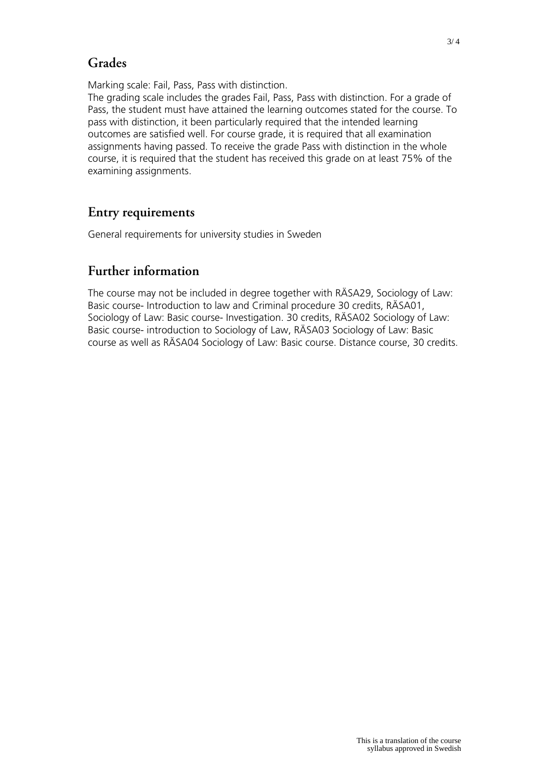## **Grades**

Marking scale: Fail, Pass, Pass with distinction.

The grading scale includes the grades Fail, Pass, Pass with distinction. For a grade of Pass, the student must have attained the learning outcomes stated for the course. To pass with distinction, it been particularly required that the intended learning outcomes are satisfied well. For course grade, it is required that all examination assignments having passed. To receive the grade Pass with distinction in the whole course, it is required that the student has received this grade on at least 75% of the examining assignments.

## **Entry requirements**

General requirements for university studies in Sweden

# **Further information**

The course may not be included in degree together with RÄSA29, Sociology of Law: Basic course- Introduction to law and Criminal procedure 30 credits, RÄSA01, Sociology of Law: Basic course- Investigation. 30 credits, RÄSA02 Sociology of Law: Basic course- introduction to Sociology of Law, RÄSA03 Sociology of Law: Basic course as well as RÄSA04 Sociology of Law: Basic course. Distance course, 30 credits.